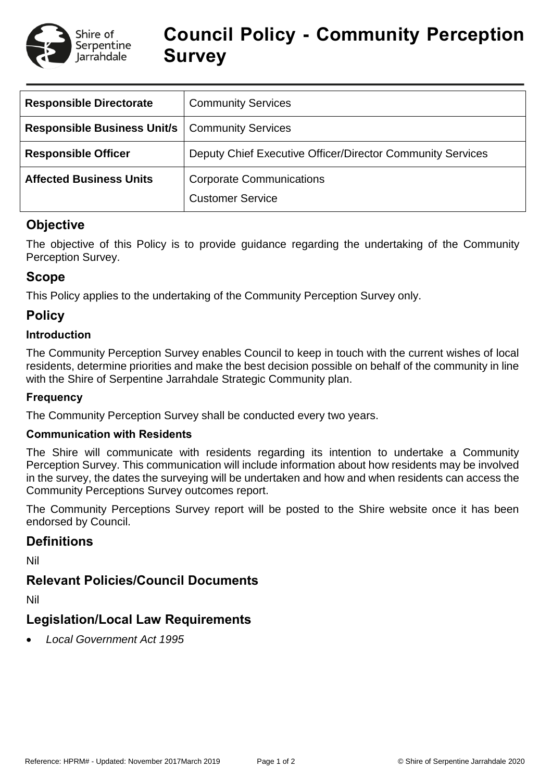

# **Council Policy - Community Perception Survey**

| <b>Responsible Directorate</b>                          | <b>Community Services</b>                                  |  |  |
|---------------------------------------------------------|------------------------------------------------------------|--|--|
| <b>Responsible Business Unit/s   Community Services</b> |                                                            |  |  |
| <b>Responsible Officer</b>                              | Deputy Chief Executive Officer/Director Community Services |  |  |
| <b>Affected Business Units</b>                          | <b>Corporate Communications</b><br><b>Customer Service</b> |  |  |

# **Objective**

The objective of this Policy is to provide guidance regarding the undertaking of the Community Perception Survey.

# **Scope**

This Policy applies to the undertaking of the Community Perception Survey only.

# **Policy**

#### **Introduction**

The Community Perception Survey enables Council to keep in touch with the current wishes of local residents, determine priorities and make the best decision possible on behalf of the community in line with the Shire of Serpentine Jarrahdale Strategic Community plan.

#### **Frequency**

The Community Perception Survey shall be conducted every two years.

#### **Communication with Residents**

The Shire will communicate with residents regarding its intention to undertake a Community Perception Survey. This communication will include information about how residents may be involved in the survey, the dates the surveying will be undertaken and how and when residents can access the Community Perceptions Survey outcomes report.

The Community Perceptions Survey report will be posted to the Shire website once it has been endorsed by Council.

# **Definitions**

Nil

# **Relevant Policies/Council Documents**

Nil

# **Legislation/Local Law Requirements**

*Local Government Act 1995*